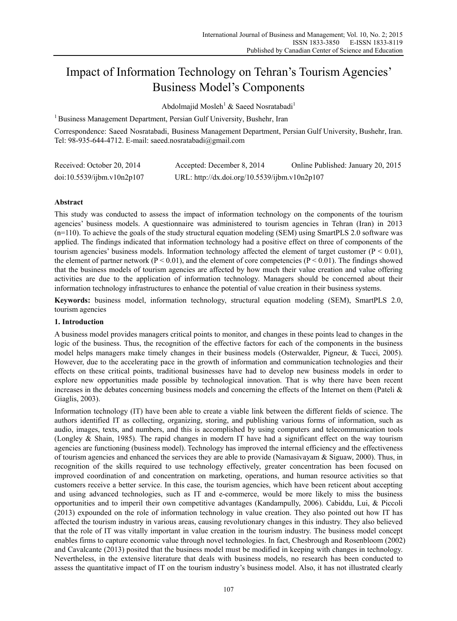# Impact of Information Technology on Tehran's Tourism Agencies' Business Model's Components

Abdolmajid Mosleh<sup>1</sup> & Saeed Nosratabadi<sup>1</sup>

<sup>1</sup> Business Management Department, Persian Gulf University, Bushehr, Iran

Correspondence: Saeed Nosratabadi, Business Management Department, Persian Gulf University, Bushehr, Iran. Tel: 98-935-644-4712. E-mail: saeed.nosratabadi@gmail.com

| Received: October 20, 2014 | Accepted: December 8, 2014                    | Online Published: January 20, 2015 |
|----------------------------|-----------------------------------------------|------------------------------------|
| doi:10.5539/ijbm.v10n2p107 | URL: http://dx.doi.org/10.5539/ijbm.v10n2p107 |                                    |

# **Abstract**

This study was conducted to assess the impact of information technology on the components of the tourism agencies' business models. A questionnaire was administered to tourism agencies in Tehran (Iran) in 2013 (n=110). To achieve the goals of the study structural equation modeling (SEM) using SmartPLS 2.0 software was applied. The findings indicated that information technology had a positive effect on three of components of the tourism agencies' business models. Information technology affected the element of target customer  $(P < 0.01)$ , the element of partner network ( $P \le 0.01$ ), and the element of core competencies ( $P \le 0.01$ ). The findings showed that the business models of tourism agencies are affected by how much their value creation and value offering activities are due to the application of information technology. Managers should be concerned about their information technology infrastructures to enhance the potential of value creation in their business systems.

**Keywords:** business model, information technology, structural equation modeling (SEM), SmartPLS 2.0, tourism agencies

# **1. Introduction**

A business model provides managers critical points to monitor, and changes in these points lead to changes in the logic of the business. Thus, the recognition of the effective factors for each of the components in the business model helps managers make timely changes in their business models (Osterwalder, Pigneur, & Tucci, 2005). However, due to the accelerating pace in the growth of information and communication technologies and their effects on these critical points, traditional businesses have had to develop new business models in order to explore new opportunities made possible by technological innovation. That is why there have been recent increases in the debates concerning business models and concerning the effects of the Internet on them (Pateli  $\&$ Giaglis, 2003).

Information technology (IT) have been able to create a viable link between the different fields of science. The authors identified IT as collecting, organizing, storing, and publishing various forms of information, such as audio, images, texts, and numbers, and this is accomplished by using computers and telecommunication tools (Longley & Shain, 1985). The rapid changes in modern IT have had a significant effect on the way tourism agencies are functioning (business model). Technology has improved the internal efficiency and the effectiveness of tourism agencies and enhanced the services they are able to provide (Namasivayam & Siguaw, 2000). Thus, in recognition of the skills required to use technology effectively, greater concentration has been focused on improved coordination of and concentration on marketing, operations, and human resource activities so that customers receive a better service. In this case, the tourism agencies, which have been reticent about accepting and using advanced technologies, such as IT and e-commerce, would be more likely to miss the business opportunities and to imperil their own competitive advantages (Kandampully, 2006). Cabiddu, Lui, & Piccoli (2013) expounded on the role of information technology in value creation. They also pointed out how IT has affected the tourism industry in various areas, causing revolutionary changes in this industry. They also believed that the role of IT was vitally important in value creation in the tourism industry. The business model concept enables firms to capture economic value through novel technologies. In fact, Chesbrough and Rosenbloom (2002) and Cavalcante (2013) posited that the business model must be modified in keeping with changes in technology. Nevertheless, in the extensive literature that deals with business models, no research has been conducted to assess the quantitative impact of IT on the tourism industry's business model. Also, it has not illustrated clearly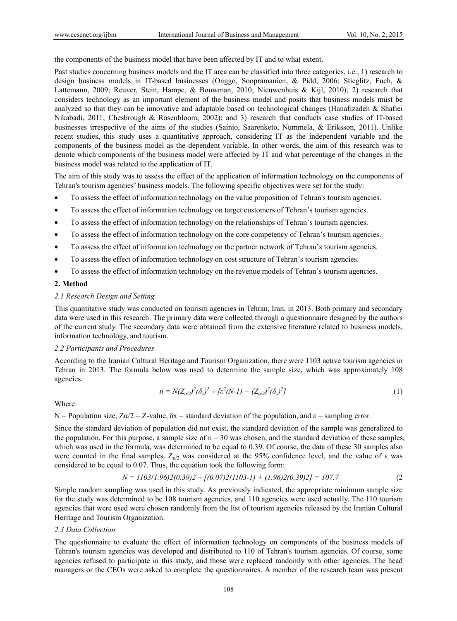the components of the business model that have been affected by IT and to what extent.

Past studies concerning business models and the IT area can be classified into three categories, i.e., 1) research to design business models in IT-based businesses (Onggo, Soopramanien, & Pidd, 2006; Stieglitz, Fuch, & Lattemann, 2009; Reuver, Stein, Hampe, & Bouwman, 2010; Nieuwenhuis & Kijl, 2010); 2) research that considers technology as an important element of the business model and posits that business models must be analyzed so that they can be innovative and adaptable based on technological changes (Hanafizadeh & Shafiei Nikabadi, 2011; Chesbrough & Rosenbloom, 2002); and 3) research that conducts case studies of IT-based businesses irrespective of the aims of the studies (Sainio, Saarenketo, Nummela, & Eriksson, 2011). Unlike recent studies, this study uses a quantitative approach, considering IT as the independent variable and the components of the business model as the dependent variable. In other words, the aim of this research was to denote which components of the business model were affected by IT and what percentage of the changes in the business model was related to the application of IT.

The aim of this study was to assess the effect of the application of information technology on the components of Tehran's tourism agencies' business models. The following specific objectives were set for the study:

- To assess the effect of information technology on the value proposition of Tehran's tourism agencies.
- To assess the effect of information technology on target customers of Tehran's tourism agencies.
- To assess the effect of information technology on the relationships of Tehran's tourism agencies.
- To assess the effect of information technology on the core competency of Tehran's tourism agencies.
- To assess the effect of information technology on the partner network of Tehran's tourism agencies.
- To assess the effect of information technology on cost structure of Tehran's tourism agencies.
- To assess the effect of information technology on the revenue models of Tehran's tourism agencies.

## **2. Method**

## *2.1 Research Design and Setting*

This quantitative study was conducted on tourism agencies in Tehran, Iran, in 2013. Both primary and secondary data were used in this research. The primary data were collected through a questionnaire designed by the authors of the current study. The secondary data were obtained from the extensive literature related to business models, information technology, and tourism.

## *2.2 Participants and Procedures*

According to the Iranian Cultural Heritage and Tourism Organization, there were 1103 active tourism agencies in Tehran in 2013. The formula below was used to determine the sample size, which was approximately 108 agencies.

$$
n = N(Z_{\alpha/2})^2 (\delta_x)^2 \div [ \varepsilon^2 (N-1) + (Z_{\alpha/2})^2 (\delta_x)^2 ] \tag{1}
$$

Where:

N = Population size,  $Z\alpha/2 = Z$ -value,  $\delta x$  = standard deviation of the population, and  $\varepsilon$  = sampling error.

Since the standard deviation of population did not exist, the standard deviation of the sample was generalized to the population. For this purpose, a sample size of  $n = 30$  was chosen, and the standard deviation of these samples, which was used in the formula, was determined to be equal to 0.39. Of course, the data of these 30 samples also were counted in the final samples.  $Z_{\alpha/2}$  was considered at the 95% confidence level, and the value of  $\varepsilon$  was considered to be equal to 0.07. Thus, the equation took the following form:

$$
N = 1103(1.96)2(0.39)2 \div \left[ (0.07)2(1103 - 1) + (1.96)2(0.39)2 \right] = 107.7
$$
\n(2)

Simple random sampling was used in this study. As previously indicated, the appropriate minimum sample size for the study was determined to be 108 tourism agencies, and 110 agencies were used actually. The 110 tourism agencies that were used were chosen randomly from the list of tourism agencies released by the Iranian Cultural Heritage and Tourism Organization.

#### *2.3 Data Collection*

The questionnaire to evaluate the effect of information technology on components of the business models of Tehran's tourism agencies was developed and distributed to 110 of Tehran's tourism agencies. Of course, some agencies refused to participate in this study, and those were replaced randomly with other agencies. The head managers or the CEOs were asked to complete the questionnaires. A member of the research team was present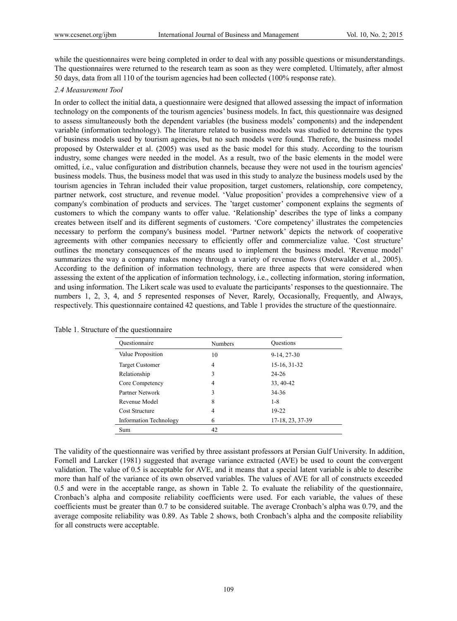while the questionnaires were being completed in order to deal with any possible questions or misunderstandings. The questionnaires were returned to the research team as soon as they were completed. Ultimately, after almost 50 days, data from all 110 of the tourism agencies had been collected (100% response rate).

## *2.4 Measurement Tool*

In order to collect the initial data, a questionnaire were designed that allowed assessing the impact of information technology on the components of the tourism agencies' business models. In fact, this questionnaire was designed to assess simultaneously both the dependent variables (the business models' components) and the independent variable (information technology). The literature related to business models was studied to determine the types of business models used by tourism agencies, but no such models were found. Therefore, the business model proposed by Osterwalder et al. (2005) was used as the basic model for this study. According to the tourism industry, some changes were needed in the model. As a result, two of the basic elements in the model were omitted, i.e., value configuration and distribution channels, because they were not used in the tourism agencies' business models. Thus, the business model that was used in this study to analyze the business models used by the tourism agencies in Tehran included their value proposition, target customers, relationship, core competency, partner network, cost structure, and revenue model. 'Value proposition' provides a comprehensive view of a company's combination of products and services. The 'target customer' component explains the segments of customers to which the company wants to offer value. 'Relationship' describes the type of links a company creates between itself and its different segments of customers. 'Core competency' illustrates the competencies necessary to perform the company's business model. 'Partner network' depicts the network of cooperative agreements with other companies necessary to efficiently offer and commercialize value. 'Cost structure' outlines the monetary consequences of the means used to implement the business model. 'Revenue model' summarizes the way a company makes money through a variety of revenue flows (Osterwalder et al., 2005). According to the definition of information technology, there are three aspects that were considered when assessing the extent of the application of information technology, i.e., collecting information, storing information, and using information. The Likert scale was used to evaluate the participants' responses to the questionnaire. The numbers 1, 2, 3, 4, and 5 represented responses of Never, Rarely, Occasionally, Frequently, and Always, respectively. This questionnaire contained 42 questions, and Table 1 provides the structure of the questionnaire.

| Ouestionnaire                 | <b>Numbers</b> | <b>Questions</b> |
|-------------------------------|----------------|------------------|
| Value Proposition             | 10             | $9-14, 27-30$    |
| <b>Target Customer</b>        | 4              | 15-16, 31-32     |
| Relationship                  | 3              | $24 - 26$        |
| Core Competency               | 4              | 33, 40-42        |
| Partner Network               | 3              | 34-36            |
| Revenue Model                 | 8              | $1 - 8$          |
| <b>Cost Structure</b>         | 4              | 19-22            |
| <b>Information Technology</b> | 6              | 17-18, 23, 37-39 |
| Sum                           | 42             |                  |

Table 1. Structure of the questionnaire

The validity of the questionnaire was verified by three assistant professors at Persian Gulf University. In addition, Fornell and Larcker (1981) suggested that average variance extracted (AVE) be used to count the convergent validation. The value of 0.5 is acceptable for AVE, and it means that a special latent variable is able to describe more than half of the variance of its own observed variables. The values of AVE for all of constructs exceeded 0.5 and were in the acceptable range, as shown in Table 2. To evaluate the reliability of the questionnaire, Cronbach's alpha and composite reliability coefficients were used. For each variable, the values of these coefficients must be greater than 0.7 to be considered suitable. The average Cronbach's alpha was 0.79, and the average composite reliability was 0.89. As Table 2 shows, both Cronbach's alpha and the composite reliability for all constructs were acceptable.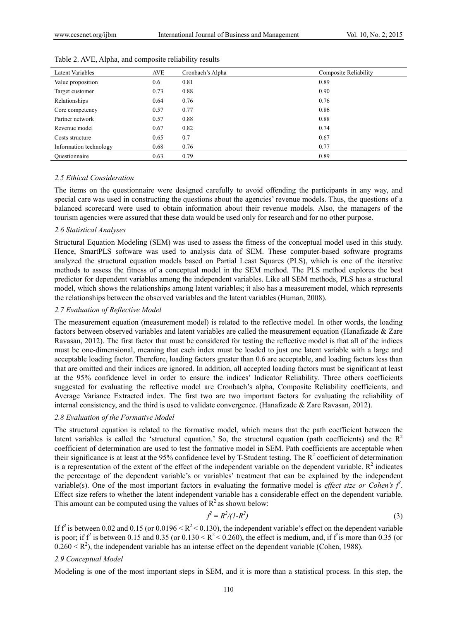| <b>Latent Variables</b> | <b>AVE</b> | Cronbach's Alpha | Composite Reliability |
|-------------------------|------------|------------------|-----------------------|
| Value proposition       | 0.6        | 0.81             | 0.89                  |
| Target customer         | 0.73       | 0.88             | 0.90                  |
| Relationships           | 0.64       | 0.76             | 0.76                  |
| Core competency         | 0.57       | 0.77             | 0.86                  |
| Partner network         | 0.57       | 0.88             | 0.88                  |
| Revenue model           | 0.67       | 0.82             | 0.74                  |
| Costs structure         | 0.65       | 0.7              | 0.67                  |
| Information technology  | 0.68       | 0.76             | 0.77                  |
| Ouestionnaire           | 0.63       | 0.79             | 0.89                  |

#### Table 2. AVE, Alpha, and composite reliability results

#### *2.5 Ethical Consideration*

The items on the questionnaire were designed carefully to avoid offending the participants in any way, and special care was used in constructing the questions about the agencies' revenue models. Thus, the questions of a balanced scorecard were used to obtain information about their revenue models. Also, the managers of the tourism agencies were assured that these data would be used only for research and for no other purpose.

#### *2.6 Statistical Analyses*

Structural Equation Modeling (SEM) was used to assess the fitness of the conceptual model used in this study. Hence, SmartPLS software was used to analysis data of SEM. These computer-based software programs analyzed the structural equation models based on Partial Least Squares (PLS), which is one of the iterative methods to assess the fitness of a conceptual model in the SEM method. The PLS method explores the best predictor for dependent variables among the independent variables. Like all SEM methods, PLS has a structural model, which shows the relationships among latent variables; it also has a measurement model, which represents the relationships between the observed variables and the latent variables (Human, 2008).

#### *2.7 Evaluation of Reflective Model*

The measurement equation (measurement model) is related to the reflective model. In other words, the loading factors between observed variables and latent variables are called the measurement equation (Hanafizade & Zare Ravasan, 2012). The first factor that must be considered for testing the reflective model is that all of the indices must be one-dimensional, meaning that each index must be loaded to just one latent variable with a large and acceptable loading factor. Therefore, loading factors greater than 0.6 are acceptable, and loading factors less than that are omitted and their indices are ignored. In addition, all accepted loading factors must be significant at least at the 95% confidence level in order to ensure the indices' Indicator Reliability. Three others coefficients suggested for evaluating the reflective model are Cronbach's alpha, Composite Reliability coefficients, and Average Variance Extracted index. The first two are two important factors for evaluating the reliability of internal consistency, and the third is used to validate convergence. (Hanafizade & Zare Ravasan, 2012).

#### *2.8 Evaluation of the Formative Model*

The structural equation is related to the formative model, which means that the path coefficient between the latent variables is called the 'structural equation.' So, the structural equation (path coefficients) and the  $R<sup>2</sup>$ coefficient of determination are used to test the formative model in SEM. Path coefficients are acceptable when their significance is at least at the 95% confidence level by T-Student testing. The  $R^2$  coefficient of determination is a representation of the extent of the effect of the independent variable on the dependent variable.  $R^2$  indicates the percentage of the dependent variable's or variables' treatment that can be explained by the independent variable(s). One of the most important factors in evaluating the formative model is *effect size or Cohen's*  $f^2$ . Effect size refers to whether the latent independent variable has a considerable effect on the dependent variable. This amount can be computed using the values of  $R^2$  as shown below:

$$
f^2 = R^2/(1 - R^2) \tag{3}
$$

If  $f^2$  is between 0.02 and 0.15 (or 0.0196 <  $R^2$  < 0.130), the independent variable's effect on the dependent variable is poor; if  $f^2$  is between 0.15 and 0.35 (or 0.130 <  $R^2$  < 0.260), the effect is medium, and, if  $f^2$  is more than 0.35 (or  $0.260 \le R^2$ ), the independent variable has an intense effect on the dependent variable (Cohen, 1988).

# *2.9 Conceptual Model*

Modeling is one of the most important steps in SEM, and it is more than a statistical process. In this step, the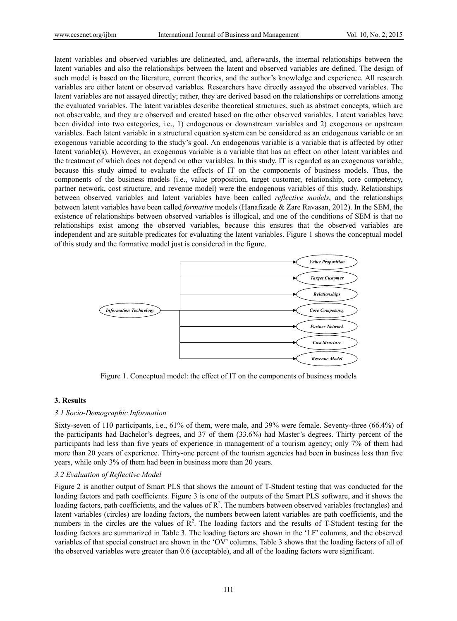latent variables and observed variables are delineated, and, afterwards, the internal relationships between the latent variables and also the relationships between the latent and observed variables are defined. The design of such model is based on the literature, current theories, and the author's knowledge and experience. All research variables are either latent or observed variables. Researchers have directly assayed the observed variables. The latent variables are not assayed directly; rather, they are derived based on the relationships or correlations among the evaluated variables. The latent variables describe theoretical structures, such as abstract concepts, which are not observable, and they are observed and created based on the other observed variables. Latent variables have been divided into two categories, i.e., 1) endogenous or downstream variables and 2) exogenous or upstream variables. Each latent variable in a structural equation system can be considered as an endogenous variable or an exogenous variable according to the study's goal. An endogenous variable is a variable that is affected by other latent variable(s). However, an exogenous variable is a variable that has an effect on other latent variables and the treatment of which does not depend on other variables. In this study, IT is regarded as an exogenous variable, because this study aimed to evaluate the effects of IT on the components of business models. Thus, the components of the business models (i.e., value proposition, target customer, relationship, core competency, partner network, cost structure, and revenue model) were the endogenous variables of this study. Relationships between observed variables and latent variables have been called *reflective models*, and the relationships between latent variables have been called *formative* models (Hanafizade & Zare Ravasan, 2012). In the SEM, the existence of relationships between observed variables is illogical, and one of the conditions of SEM is that no relationships exist among the observed variables, because this ensures that the observed variables are independent and are suitable predicates for evaluating the latent variables. Figure 1 shows the conceptual model of this study and the formative model just is considered in the figure.



Figure 1. Conceptual model: the effect of IT on the components of business models

## **3. Results**

## *3.1 Socio-Demographic Information*

Sixty-seven of 110 participants, i.e., 61% of them, were male, and 39% were female. Seventy-three (66.4%) of the participants had Bachelor's degrees, and 37 of them (33.6%) had Master's degrees. Thirty percent of the participants had less than five years of experience in management of a tourism agency; only 7% of them had more than 20 years of experience. Thirty-one percent of the tourism agencies had been in business less than five years, while only 3% of them had been in business more than 20 years.

#### *3.2 Evaluation of Reflective Model*

Figure 2 is another output of Smart PLS that shows the amount of T-Student testing that was conducted for the loading factors and path coefficients. Figure 3 is one of the outputs of the Smart PLS software, and it shows the loading factors, path coefficients, and the values of  $\mathbb{R}^2$ . The numbers between observed variables (rectangles) and latent variables (circles) are loading factors, the numbers between latent variables are path coefficients, and the numbers in the circles are the values of  $R^2$ . The loading factors and the results of T-Student testing for the loading factors are summarized in Table 3. The loading factors are shown in the 'LF' columns, and the observed variables of that special construct are shown in the 'OV' columns. Table 3 shows that the loading factors of all of the observed variables were greater than 0.6 (acceptable), and all of the loading factors were significant.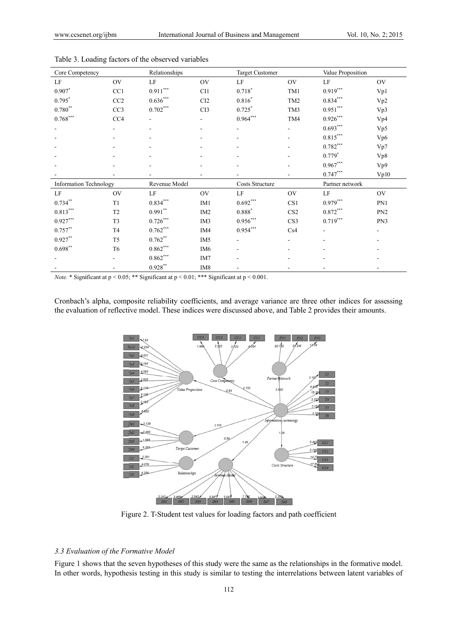| Core Competency               |                 | Relationships            |                 | Target Customer          |                 | Value Proposition        |                 |
|-------------------------------|-----------------|--------------------------|-----------------|--------------------------|-----------------|--------------------------|-----------------|
| $\rm LF$                      | OV              | LF                       | OV              | $\rm LF$                 | <b>OV</b>       | LF                       | OV              |
| $0.907*$                      | CC1             | $0.911^{\ast\ast\ast}$   | CI1             | $0.718*$                 | TM1             | $0.919***$               | Vp1             |
| $0.795*$                      | CC2             | $0.636\sp{^{***}}$       | CI2             | $0.816*$                 | TM <sub>2</sub> | $0.834***$               | Vp2             |
| $0.780^{\ast\ast}$            | CC <sub>3</sub> | $0.702\sp{^{***}}$       | CI3             | $0.725*$                 | TM3             | $0.951***$               | Vp3             |
| $0.768^{\ast\ast\ast}$        | CC4             |                          |                 | ${0.964}^{\ast\ast\ast}$ | TM4             | $0.926\sp{***}$          | Vp4             |
|                               | ٠               | $\overline{\phantom{0}}$ |                 | $\overline{\phantom{a}}$ |                 | $0.693***$               | Vp5             |
|                               |                 |                          |                 |                          |                 | $0.815^{\ast\ast\ast}$   | Vp6             |
|                               |                 |                          |                 |                          |                 | $0.782\overset{***}{ }$  | Vp7             |
|                               |                 |                          |                 |                          |                 | $0.779*$                 | Vp8             |
|                               |                 |                          |                 |                          |                 | $0.967***$               | Vp9             |
|                               |                 |                          |                 |                          |                 | $0.747^{\ast\ast\ast}$   | Vp10            |
| <b>Information Technology</b> |                 | Revenue Model            |                 | Costs Structure          |                 | Partner network          |                 |
| $\rm LF$                      | OV              | LF                       | OV              | $\rm LF$                 | OV              | $\rm LF$                 | OV              |
| $0.734**$                     | T1              | $0.834^{***}\,$          | IM1             | $0.692***$               | CS1             | $0.979^{\ast\ast\ast}$   | PN1             |
| $0.813***$                    | T <sub>2</sub>  | $0.991**$                | IM <sub>2</sub> | $0.888*$                 | CS <sub>2</sub> | $0.872***$               | PN <sub>2</sub> |
| $0.927***$                    | T <sub>3</sub>  | $0.726***$               | IM3             | $0.956***$               | CS3             | $0.719***$               | PN3             |
| $0.757***$                    | T <sub>4</sub>  | $0.762^{\ast\ast\ast}$   | IM4             | $0.954***$               | Cs4             | $\overline{\phantom{a}}$ |                 |
| $0.927**$                     | T <sub>5</sub>  | $0.762***$               | IM <sub>5</sub> | ۰                        |                 | ٠                        |                 |
| $0.698***$                    | T <sub>6</sub>  | $0.862^{\ast\ast\ast}$   | IM <sub>6</sub> | $\overline{a}$           |                 | -                        |                 |
|                               |                 | $0.862^{\ast\ast\ast}$   | IM7             |                          |                 | ۰                        |                 |
|                               |                 | $0.928^{\ast\ast}$       | IM8             |                          |                 |                          |                 |

Table 3. Loading factors of the observed variables

*Note.* \* Significant at  $p < 0.05$ ; \*\* Significant at  $p < 0.01$ ; \*\*\* Significant at  $p < 0.001$ .

Cronbach's alpha, composite reliability coefficients, and average variance are three other indices for assessing the evaluation of reflective model. These indices were discussed above, and Table 2 provides their amounts.



Figure 2. T-Student test values for loading factors and path coefficient

# 3.3 Evaluation of the Formative Model

Figure 1 shows that the seven hypotheses of this study were the same as the relationships in the formative model. In other words, hypothesis testing in this study is similar to testing the interrelations between latent variables of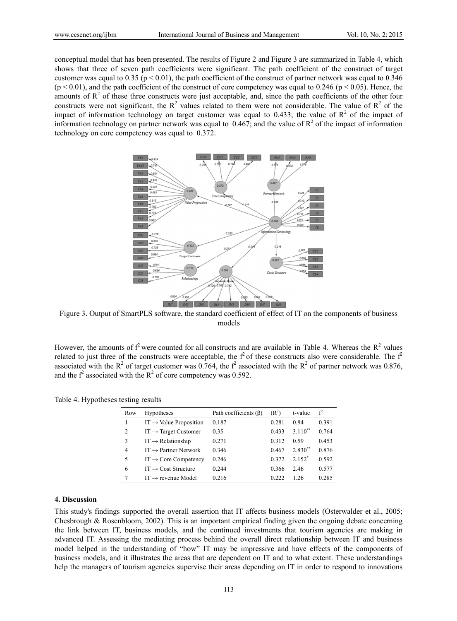conceptual model that has been presented. The results of Figure 2 and Figure 3 are summarized in Table 4, which shows that three of seven path coefficients were significant. The path coefficient of the construct of target customer was equal to 0.35 ( $p < 0.01$ ), the path coefficient of the construct of partner network was equal to 0.346  $(p < 0.01)$ , and the path coefficient of the construct of core competency was equal to 0.246 ( $p < 0.05$ ). Hence, the amounts of  $R^2$  of these three constructs were just acceptable, and, since the path coefficients of the other four constructs were not significant, the  $R^2$  values related to them were not considerable. The value of  $R^2$  of the impact of information technology on target customer was equal to 0.433; the value of  $R^2$  of the impact of information technology on partner network was equal to 0.467; and the value of  $R^2$  of the impact of information technology on core competency was equal to 0.372.



Figure 3. Output of SmartPLS software, the standard coefficient of effect of IT on the components of business models

However, the amounts of  $f^2$  were counted for all constructs and are available in Table 4. Whereas the  $R^2$  values related to just three of the constructs were acceptable, the  $f^2$  of these constructs also were considerable. The  $f^2$ associated with the R<sup>2</sup> of target customer was 0.764, the f<sup>2</sup> associated with the R<sup>2</sup> of partner network was 0.876, and the  $f^2$  associated with the  $R^2$  of core competency was 0.592.

| Row            | <b>Hypotheses</b>                  | Path coefficients $(\beta)$ | $(R^2)$ | t-value              | $f^2$ |
|----------------|------------------------------------|-----------------------------|---------|----------------------|-------|
|                | $IT \rightarrow$ Value Proposition | 0.187                       | 0.281   | 0.84                 | 0.391 |
| $\overline{c}$ | $IT \rightarrow Target Customer$   | 0.35                        | 0.433   | $3.110^{**}$         | 0.764 |
| 3              | $IT \rightarrow Relationship$      | 0.271                       | 0.312   | 0.59                 | 0.453 |
| $\overline{4}$ | $IT \rightarrow$ Partner Network   | 0.346                       | 0.467   | $2.830^{**}$         | 0.876 |
| 5              | $IT \rightarrow Core$ Competency   | 0.246                       | 0.372   | $2.152$ <sup>*</sup> | 0.592 |
| 6              | $IT \rightarrow Cost Structure$    | 0.244                       | 0.366   | 2.46                 | 0.577 |
| 7              | $IT \rightarrow$ revenue Model     | 0.216                       | 0.222   | 1 26                 | 0.285 |

# 4. Discussion

This study's findings supported the overall assertion that IT affects business models (Osterwalder et al., 2005; Chesbrough & Rosenbloom, 2002). This is an important empirical finding given the ongoing debate concerning the link between IT, business models, and the continued investments that tourism agencies are making in advanced IT. Assessing the mediating process behind the overall direct relationship between IT and business model helped in the understanding of "how" IT may be impressive and have effects of the components of business models, and it illustrates the areas that are dependent on IT and to what extent. These understandings help the managers of tourism agencies supervise their areas depending on IT in order to respond to innovations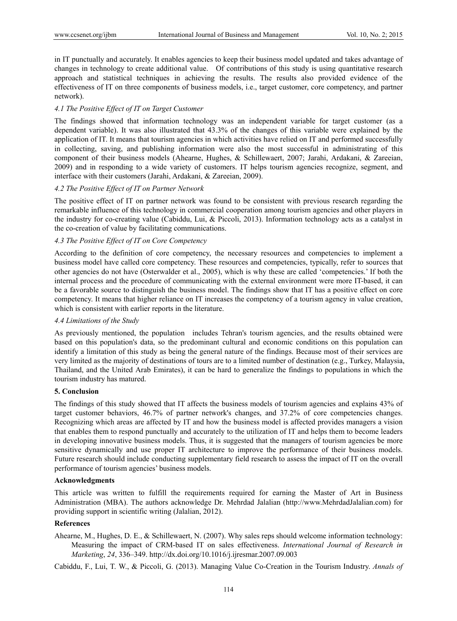in IT punctually and accurately. It enables agencies to keep their business model updated and takes advantage of changes in technology to create additional value. Of contributions of this study is using quantitative research approach and statistical techniques in achieving the results. The results also provided evidence of the effectiveness of IT on three components of business models, i.e., target customer, core competency, and partner network).

# *4.1 The Positive Effect of IT on Target Customer*

The findings showed that information technology was an independent variable for target customer (as a dependent variable). It was also illustrated that 43.3% of the changes of this variable were explained by the application of IT. It means that tourism agencies in which activities have relied on IT and performed successfully in collecting, saving, and publishing information were also the most successful in administrating of this component of their business models (Ahearne, Hughes, & Schillewaert, 2007; Jarahi, Ardakani, & Zareeian, 2009) and in responding to a wide variety of customers. IT helps tourism agencies recognize, segment, and interface with their customers (Jarahi, Ardakani, & Zareeian, 2009).

## *4.2 The Positive Effect of IT on Partner Network*

The positive effect of IT on partner network was found to be consistent with previous research regarding the remarkable influence of this technology in commercial cooperation among tourism agencies and other players in the industry for co-creating value (Cabiddu, Lui, & Piccoli, 2013). Information technology acts as a catalyst in the co-creation of value by facilitating communications.

## *4.3 The Positive Effect of IT on Core Competency*

According to the definition of core competency, the necessary resources and competencies to implement a business model have called core competency. These resources and competencies, typically, refer to sources that other agencies do not have (Osterwalder et al., 2005), which is why these are called 'competencies.' If both the internal process and the procedure of communicating with the external environment were more IT-based, it can be a favorable source to distinguish the business model. The findings show that IT has a positive effect on core competency. It means that higher reliance on IT increases the competency of a tourism agency in value creation, which is consistent with earlier reports in the literature.

#### *4.4 Limitations of the Study*

As previously mentioned, the population includes Tehran's tourism agencies, and the results obtained were based on this population's data, so the predominant cultural and economic conditions on this population can identify a limitation of this study as being the general nature of the findings. Because most of their services are very limited as the majority of destinations of tours are to a limited number of destination (e.g., Turkey, Malaysia, Thailand, and the United Arab Emirates), it can be hard to generalize the findings to populations in which the tourism industry has matured.

#### **5. Conclusion**

The findings of this study showed that IT affects the business models of tourism agencies and explains 43% of target customer behaviors, 46.7% of partner network's changes, and 37.2% of core competencies changes. Recognizing which areas are affected by IT and how the business model is affected provides managers a vision that enables them to respond punctually and accurately to the utilization of IT and helps them to become leaders in developing innovative business models. Thus, it is suggested that the managers of tourism agencies be more sensitive dynamically and use proper IT architecture to improve the performance of their business models. Future research should include conducting supplementary field research to assess the impact of IT on the overall performance of tourism agencies' business models.

## **Acknowledgments**

This article was written to fulfill the requirements required for earning the Master of Art in Business Administration (MBA). The authors acknowledge Dr. Mehrdad Jalalian (http://www.MehrdadJalalian.com) for providing support in scientific writing (Jalalian, 2012).

## **References**

Ahearne, M., Hughes, D. E., & Schillewaert, N. (2007). Why sales reps should welcome information technology: Measuring the impact of CRM-based IT on sales effectiveness. *International Journal of Research in Marketing*, *24*, 336–349. http://dx.doi.org/10.1016/j.ijresmar.2007.09.003

Cabiddu, F., Lui, T. W., & Piccoli, G. (2013). Managing Value Co-Creation in the Tourism Industry. *Annals of*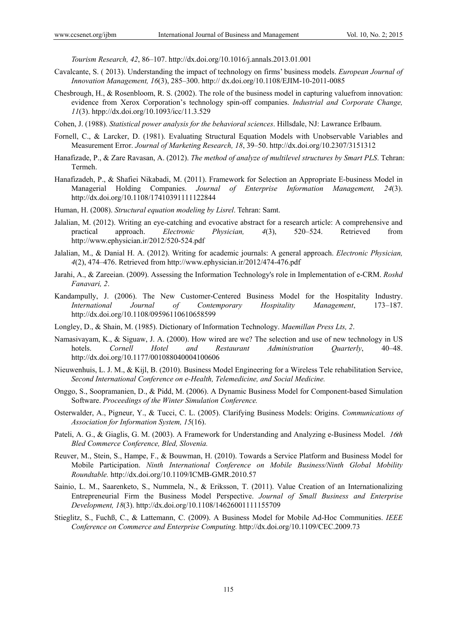*Tourism Research, 42*, 86–107. http://dx.doi.org/10.1016/j.annals.2013.01.001

- Cavalcante, S. ( 2013). Understanding the impact of technology on firms' business models. *European Journal of Innovation Management, 16*(3), 285–300. http:// dx.doi.org/10.1108/EJIM-10-2011-0085
- Chesbrough, H., & Rosenbloom, R. S. (2002). The role of the business model in capturing valuefrom innovation: evidence from Xerox Corporation's technology spin-off companies. *Industrial and Corporate Change, 11*(3). htpp://dx.doi.org/10.1093/icc/11.3.529
- Cohen, J. (1988). *Statistical power analysis for the behavioral sciences*. Hillsdale, NJ: Lawrance Erlbaum.
- Fornell, C., & Larcker, D. (1981). Evaluating Structural Equation Models with Unobservable Variables and Measurement Error. *Journal of Marketing Research, 18*, 39–50. http://dx.doi.org/10.2307/3151312
- Hanafizade, P., & Zare Ravasan, A. (2012). *The method of analyze of multilevel structures by Smart PLS*. Tehran: Termeh.
- Hanafizadeh, P., & Shafiei Nikabadi, M. (2011). Framework for Selection an Appropriate E-business Model in Managerial Holding Companies. *Journal of Enterprise Information Management, 24*(3). http://dx.doi.org/10.1108/17410391111122844
- Human, H. (2008). *Structural equation modeling by Lisrel*. Tehran: Samt.
- Jalalian, M. (2012). Writing an eye-catching and evocative abstract for a research article: A comprehensive and practical approach. *Electronic Physician, 4*(3), 520–524. Retrieved from http://www.ephysician.ir/2012/520-524.pdf
- Jalalian, M., & Danial H. A. (2012). Writing for academic journals: A general approach. *Electronic Physician, 4*(2), 474–476. Retrieved from http://www.ephysician.ir/2012/474-476.pdf
- Jarahi, A., & Zareeian. (2009). Assessing the Information Technology's role in Implementation of e-CRM. *Roshd Fanavari, 2*.
- Kandampully, J. (2006). The New Customer-Centered Business Model for the Hospitality Industry. *International Journal of Contemporary Hospitality Management*, 173–187. http://dx.doi.org/10.1108/09596110610658599
- Longley, D., & Shain, M. (1985). Dictionary of Information Technology. *Maemillan Press Lts, 2*.
- Namasivayam, K., & Siguaw, J. A. (2000). How wired are we? The selection and use of new technology in US hotels. *Cornell Hotel and Restaurant Administration Quarterly*, 40–48. http://dx.doi.org/10.1177/001088040004100606
- Nieuwenhuis, L. J. M., & Kijl, B. (2010). Business Model Engineering for a Wireless Tele rehabilitation Service, *Second International Conference on e-Health, Telemedicine, and Social Medicine.*
- Onggo, S., Soopramanien, D., & Pidd, M. (2006). A Dynamic Business Model for Component-based Simulation Software. *Proceedings of the Winter Simulation Conference.*
- Osterwalder, A., Pigneur, Y., & Tucci, C. L. (2005). Clarifying Business Models: Origins. *Communications of Association for Information System, 15*(16).
- Pateli, A. G., & Giaglis, G. M. (2003). A Framework for Understanding and Analyzing e-Business Model. 16*th Bled Commerce Conference, Bled, Slovenia.*
- Reuver, M., Stein, S., Hampe, F., & Bouwman, H. (2010). Towards a Service Platform and Business Model for Mobile Participation. *Ninth International Conference on Mobile Business/Ninth Global Mobility Roundtable.* http://dx.doi.org/10.1109/ICMB-GMR.2010.57
- Sainio, L. M., Saarenketo, S., Nummela, N., & Eriksson, T. (2011). Value Creation of an Internationalizing Entrepreneurial Firm the Business Model Perspective. *Journal of Small Business and Enterprise Development, 18*(3). http://dx.doi.org/10.1108/14626001111155709
- Stieglitz, S., Fuchß, C., & Lattemann, C. (2009). A Business Model for Mobile Ad-Hoc Communities. *IEEE Conference on Commerce and Enterprise Computing.* http://dx.doi.org/10.1109/CEC.2009.73